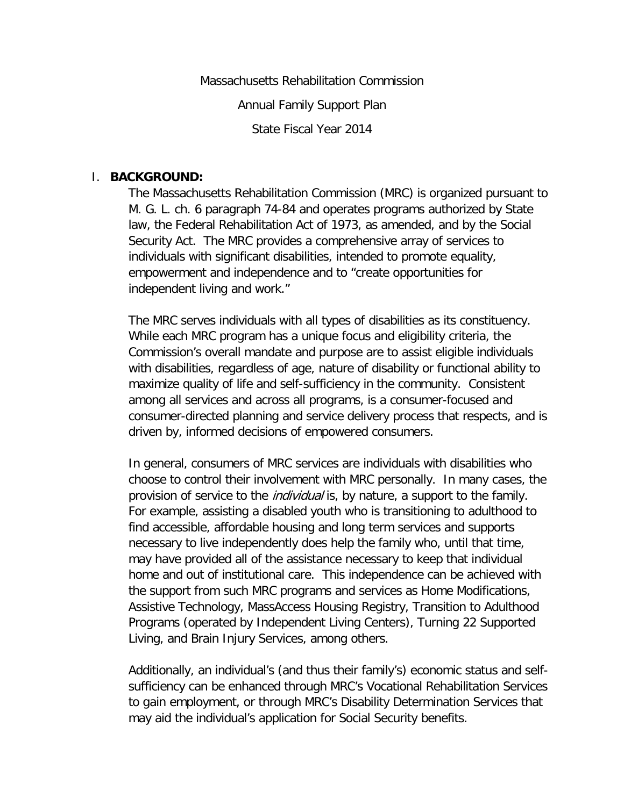Massachusetts Rehabilitation Commission Annual Family Support Plan State Fiscal Year 2014

#### I. **BACKGROUND:**

The Massachusetts Rehabilitation Commission (MRC) is organized pursuant to M. G. L. ch. 6 paragraph 74-84 and operates programs authorized by State law, the Federal Rehabilitation Act of 1973, as amended, and by the Social Security Act. The MRC provides a comprehensive array of services to individuals with significant disabilities, intended to promote equality, empowerment and independence and to "create opportunities for independent living and work."

The MRC serves individuals with all types of disabilities as its constituency. While each MRC program has a unique focus and eligibility criteria, the Commission's overall mandate and purpose are to assist eligible individuals with disabilities, regardless of age, nature of disability or functional ability to maximize quality of life and self-sufficiency in the community. Consistent among all services and across all programs, is a consumer-focused and consumer-directed planning and service delivery process that respects, and is driven by, informed decisions of empowered consumers.

In general, consumers of MRC services are individuals with disabilities who choose to control their involvement with MRC personally. In many cases, the provision of service to the *individual* is, by nature, a support to the family. For example, assisting a disabled youth who is transitioning to adulthood to find accessible, affordable housing and long term services and supports necessary to live independently does help the family who, until that time, may have provided all of the assistance necessary to keep that individual home and out of institutional care. This independence can be achieved with the support from such MRC programs and services as Home Modifications, Assistive Technology, MassAccess Housing Registry, Transition to Adulthood Programs (operated by Independent Living Centers), Turning 22 Supported Living, and Brain Injury Services, among others.

Additionally, an individual's (and thus their family's) economic status and selfsufficiency can be enhanced through MRC's Vocational Rehabilitation Services to gain employment, or through MRC's Disability Determination Services that may aid the individual's application for Social Security benefits.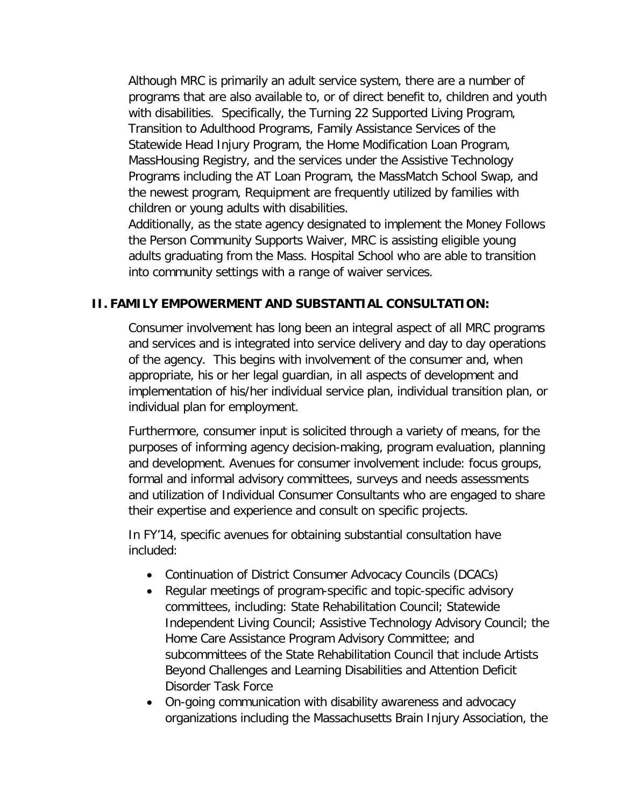Although MRC is primarily an adult service system, there are a number of programs that are also available to, or of direct benefit to, children and youth with disabilities. Specifically, the Turning 22 Supported Living Program, Transition to Adulthood Programs, Family Assistance Services of the Statewide Head Injury Program, the Home Modification Loan Program, MassHousing Registry, and the services under the Assistive Technology Programs including the AT Loan Program, the MassMatch School Swap, and the newest program, Requipment are frequently utilized by families with children or young adults with disabilities.

Additionally, as the state agency designated to implement the Money Follows the Person Community Supports Waiver, MRC is assisting eligible young adults graduating from the Mass. Hospital School who are able to transition into community settings with a range of waiver services.

### **II. FAMILY EMPOWERMENT AND SUBSTANTIAL CONSULTATION:**

Consumer involvement has long been an integral aspect of all MRC programs and services and is integrated into service delivery and day to day operations of the agency. This begins with involvement of the consumer and, when appropriate, his or her legal guardian, in all aspects of development and implementation of his/her individual service plan, individual transition plan, or individual plan for employment.

Furthermore, consumer input is solicited through a variety of means, for the purposes of informing agency decision-making, program evaluation, planning and development. Avenues for consumer involvement include: focus groups, formal and informal advisory committees, surveys and needs assessments and utilization of Individual Consumer Consultants who are engaged to share their expertise and experience and consult on specific projects.

In FY'14, specific avenues for obtaining substantial consultation have included:

- Continuation of District Consumer Advocacy Councils (DCACs)
- Regular meetings of program-specific and topic-specific advisory committees, including: State Rehabilitation Council; Statewide Independent Living Council; Assistive Technology Advisory Council; the Home Care Assistance Program Advisory Committee; and subcommittees of the State Rehabilitation Council that include Artists Beyond Challenges and Learning Disabilities and Attention Deficit Disorder Task Force
- On-going communication with disability awareness and advocacy organizations including the Massachusetts Brain Injury Association, the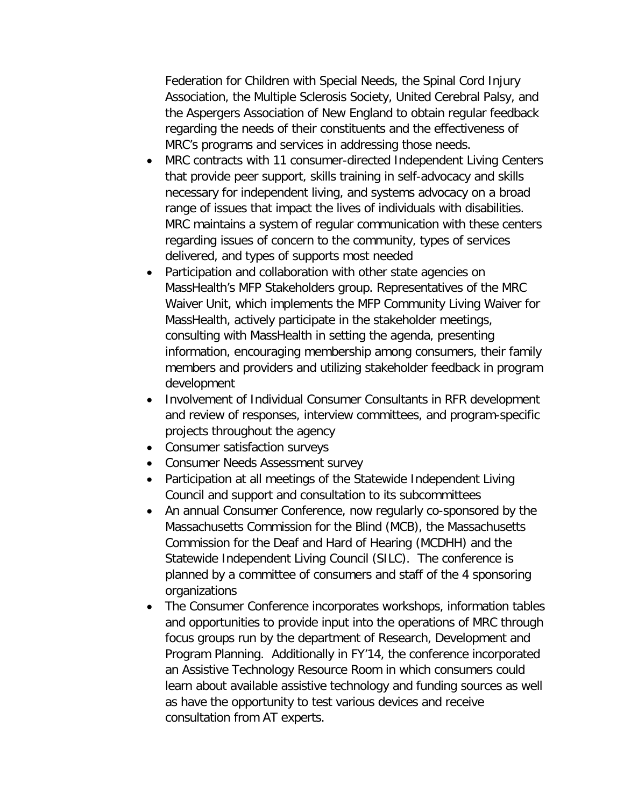Federation for Children with Special Needs, the Spinal Cord Injury Association, the Multiple Sclerosis Society, United Cerebral Palsy, and the Aspergers Association of New England to obtain regular feedback regarding the needs of their constituents and the effectiveness of MRC's programs and services in addressing those needs.

- MRC contracts with 11 consumer-directed Independent Living Centers that provide peer support, skills training in self-advocacy and skills necessary for independent living, and systems advocacy on a broad range of issues that impact the lives of individuals with disabilities. MRC maintains a system of regular communication with these centers regarding issues of concern to the community, types of services delivered, and types of supports most needed
- Participation and collaboration with other state agencies on MassHealth's MFP Stakeholders group. Representatives of the MRC Waiver Unit, which implements the MFP Community Living Waiver for MassHealth, actively participate in the stakeholder meetings, consulting with MassHealth in setting the agenda, presenting information, encouraging membership among consumers, their family members and providers and utilizing stakeholder feedback in program development
- Involvement of Individual Consumer Consultants in RFR development and review of responses, interview committees, and program-specific projects throughout the agency
- Consumer satisfaction surveys
- Consumer Needs Assessment survey
- Participation at all meetings of the Statewide Independent Living Council and support and consultation to its subcommittees
- An annual Consumer Conference, now regularly co-sponsored by the Massachusetts Commission for the Blind (MCB), the Massachusetts Commission for the Deaf and Hard of Hearing (MCDHH) and the Statewide Independent Living Council (SILC). The conference is planned by a committee of consumers and staff of the 4 sponsoring organizations
- The Consumer Conference incorporates workshops, information tables and opportunities to provide input into the operations of MRC through focus groups run by the department of Research, Development and Program Planning. Additionally in FY'14, the conference incorporated an Assistive Technology Resource Room in which consumers could learn about available assistive technology and funding sources as well as have the opportunity to test various devices and receive consultation from AT experts.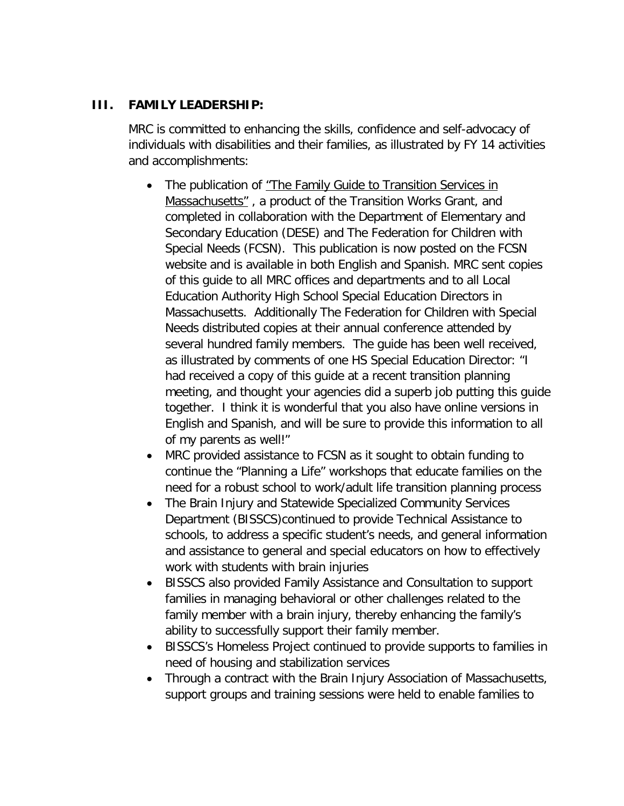# **III. FAMILY LEADERSHIP:**

MRC is committed to enhancing the skills, confidence and self-advocacy of individuals with disabilities and their families, as illustrated by FY 14 activities and accomplishments:

- The publication of "The Family Guide to Transition Services in Massachusetts", a product of the Transition Works Grant, and completed in collaboration with the Department of Elementary and Secondary Education (DESE) and The Federation for Children with Special Needs (FCSN). This publication is now posted on the FCSN website and is available in both English and Spanish. MRC sent copies of this guide to all MRC offices and departments and to all Local Education Authority High School Special Education Directors in Massachusetts. Additionally The Federation for Children with Special Needs distributed copies at their annual conference attended by several hundred family members. The guide has been well received, as illustrated by comments of one HS Special Education Director: "I had received a copy of this guide at a recent transition planning meeting, and thought your agencies did a superb job putting this guide together. I think it is wonderful that you also have online versions in English and Spanish, and will be sure to provide this information to all of my parents as well!"
- MRC provided assistance to FCSN as it sought to obtain funding to continue the "Planning a Life" workshops that educate families on the need for a robust school to work/adult life transition planning process
- The Brain Injury and Statewide Specialized Community Services Department (BISSCS)continued to provide Technical Assistance to schools, to address a specific student's needs, and general information and assistance to general and special educators on how to effectively work with students with brain injuries
- BISSCS also provided Family Assistance and Consultation to support families in managing behavioral or other challenges related to the family member with a brain injury, thereby enhancing the family's ability to successfully support their family member.
- BISSCS's Homeless Project continued to provide supports to families in need of housing and stabilization services
- Through a contract with the Brain Injury Association of Massachusetts, support groups and training sessions were held to enable families to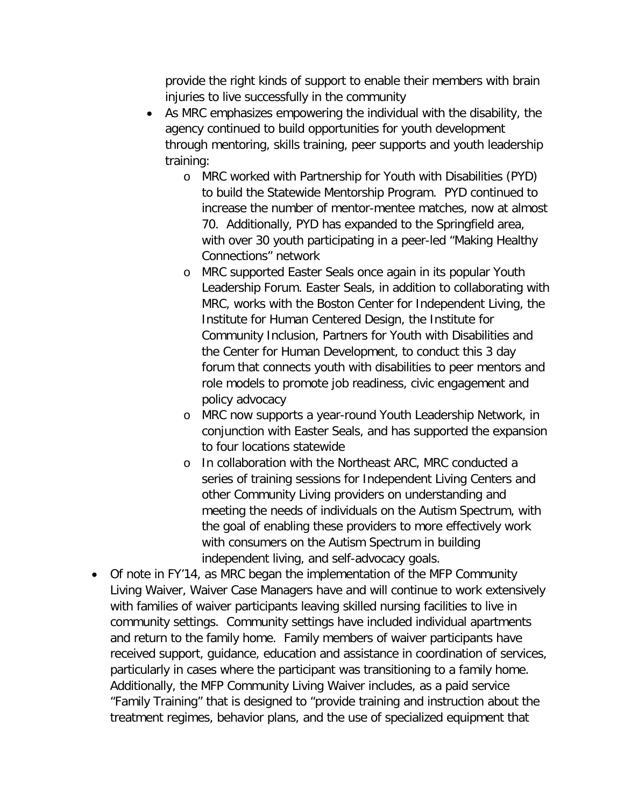provide the right kinds of support to enable their members with brain injuries to live successfully in the community

- As MRC emphasizes empowering the individual with the disability, the agency continued to build opportunities for youth development through mentoring, skills training, peer supports and youth leadership training:
	- o MRC worked with Partnership for Youth with Disabilities (PYD) to build the Statewide Mentorship Program. PYD continued to increase the number of mentor-mentee matches, now at almost 70. Additionally, PYD has expanded to the Springfield area, with over 30 youth participating in a peer-led "Making Healthy Connections" network
	- o MRC supported Easter Seals once again in its popular Youth Leadership Forum. Easter Seals, in addition to collaborating with MRC, works with the Boston Center for Independent Living, the Institute for Human Centered Design, the Institute for Community Inclusion, Partners for Youth with Disabilities and the Center for Human Development, to conduct this 3 day forum that connects youth with disabilities to peer mentors and role models to promote job readiness, civic engagement and policy advocacy
	- o MRC now supports a year-round Youth Leadership Network, in conjunction with Easter Seals, and has supported the expansion to four locations statewide
	- o In collaboration with the Northeast ARC, MRC conducted a series of training sessions for Independent Living Centers and other Community Living providers on understanding and meeting the needs of individuals on the Autism Spectrum, with the goal of enabling these providers to more effectively work with consumers on the Autism Spectrum in building independent living, and self-advocacy goals.
- Of note in FY'14, as MRC began the implementation of the MFP Community Living Waiver, Waiver Case Managers have and will continue to work extensively with families of waiver participants leaving skilled nursing facilities to live in community settings. Community settings have included individual apartments and return to the family home. Family members of waiver participants have received support, guidance, education and assistance in coordination of services, particularly in cases where the participant was transitioning to a family home. Additionally, the MFP Community Living Waiver includes, as a paid service "Family Training" that is designed to "provide training and instruction about the treatment regimes, behavior plans, and the use of specialized equipment that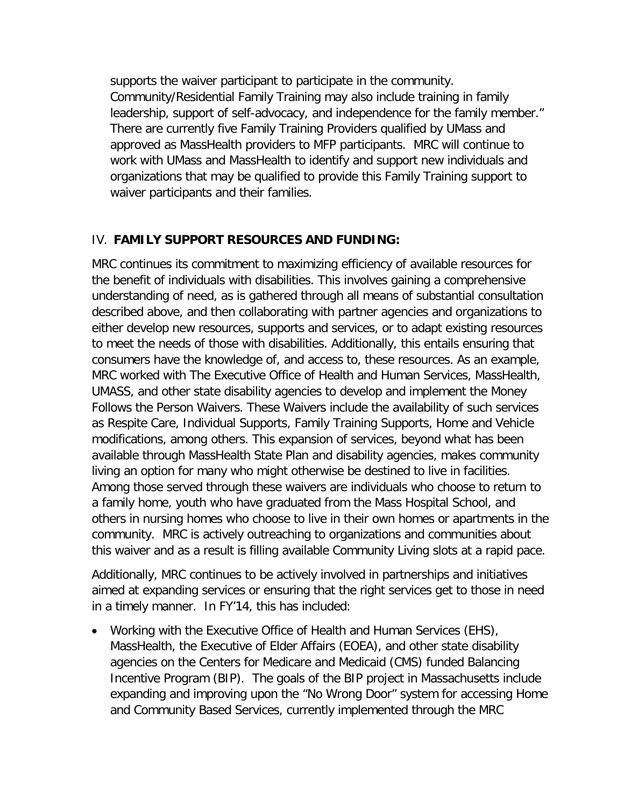supports the waiver participant to participate in the community. Community/Residential Family Training may also include training in family leadership, support of self-advocacy, and independence for the family member." There are currently five Family Training Providers qualified by UMass and approved as MassHealth providers to MFP participants. MRC will continue to work with UMass and MassHealth to identify and support new individuals and organizations that may be qualified to provide this Family Training support to waiver participants and their families.

## IV. **FAMILY SUPPORT RESOURCES AND FUNDING:**

MRC continues its commitment to maximizing efficiency of available resources for the benefit of individuals with disabilities. This involves gaining a comprehensive understanding of need, as is gathered through all means of substantial consultation described above, and then collaborating with partner agencies and organizations to either develop new resources, supports and services, or to adapt existing resources to meet the needs of those with disabilities. Additionally, this entails ensuring that consumers have the knowledge of, and access to, these resources. As an example, MRC worked with The Executive Office of Health and Human Services, MassHealth, UMASS, and other state disability agencies to develop and implement the Money Follows the Person Waivers. These Waivers include the availability of such services as Respite Care, Individual Supports, Family Training Supports, Home and Vehicle modifications, among others. This expansion of services, beyond what has been available through MassHealth State Plan and disability agencies, makes community living an option for many who might otherwise be destined to live in facilities. Among those served through these waivers are individuals who choose to return to a family home, youth who have graduated from the Mass Hospital School, and others in nursing homes who choose to live in their own homes or apartments in the community. MRC is actively outreaching to organizations and communities about this waiver and as a result is filling available Community Living slots at a rapid pace.

Additionally, MRC continues to be actively involved in partnerships and initiatives aimed at expanding services or ensuring that the right services get to those in need in a timely manner. In FY'14, this has included:

• Working with the Executive Office of Health and Human Services (EHS), MassHealth, the Executive of Elder Affairs (EOEA), and other state disability agencies on the Centers for Medicare and Medicaid (CMS) funded Balancing Incentive Program (BIP). The goals of the BIP project in Massachusetts include expanding and improving upon the "No Wrong Door" system for accessing Home and Community Based Services, currently implemented through the MRC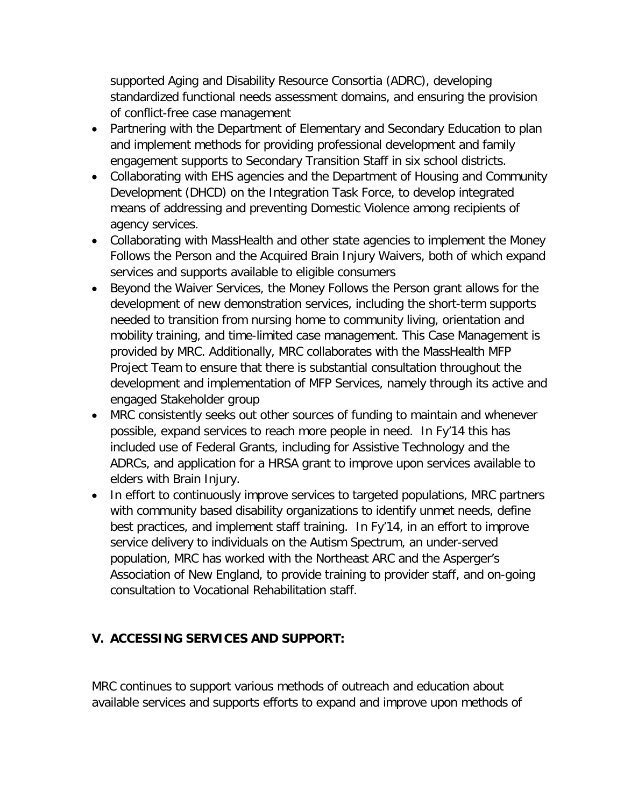supported Aging and Disability Resource Consortia (ADRC), developing standardized functional needs assessment domains, and ensuring the provision of conflict-free case management

- Partnering with the Department of Elementary and Secondary Education to plan and implement methods for providing professional development and family engagement supports to Secondary Transition Staff in six school districts.
- Collaborating with EHS agencies and the Department of Housing and Community Development (DHCD) on the Integration Task Force, to develop integrated means of addressing and preventing Domestic Violence among recipients of agency services.
- Collaborating with MassHealth and other state agencies to implement the Money Follows the Person and the Acquired Brain Injury Waivers, both of which expand services and supports available to eligible consumers
- Beyond the Waiver Services, the Money Follows the Person grant allows for the development of new demonstration services, including the short-term supports needed to transition from nursing home to community living, orientation and mobility training, and time-limited case management. This Case Management is provided by MRC. Additionally, MRC collaborates with the MassHealth MFP Project Team to ensure that there is substantial consultation throughout the development and implementation of MFP Services, namely through its active and engaged Stakeholder group
- MRC consistently seeks out other sources of funding to maintain and whenever possible, expand services to reach more people in need. In Fy'14 this has included use of Federal Grants, including for Assistive Technology and the ADRCs, and application for a HRSA grant to improve upon services available to elders with Brain Injury.
- In effort to continuously improve services to targeted populations, MRC partners with community based disability organizations to identify unmet needs, define best practices, and implement staff training. In Fy'14, in an effort to improve service delivery to individuals on the Autism Spectrum, an under-served population, MRC has worked with the Northeast ARC and the Asperger's Association of New England, to provide training to provider staff, and on-going consultation to Vocational Rehabilitation staff.

# **V. ACCESSING SERVICES AND SUPPORT:**

MRC continues to support various methods of outreach and education about available services and supports efforts to expand and improve upon methods of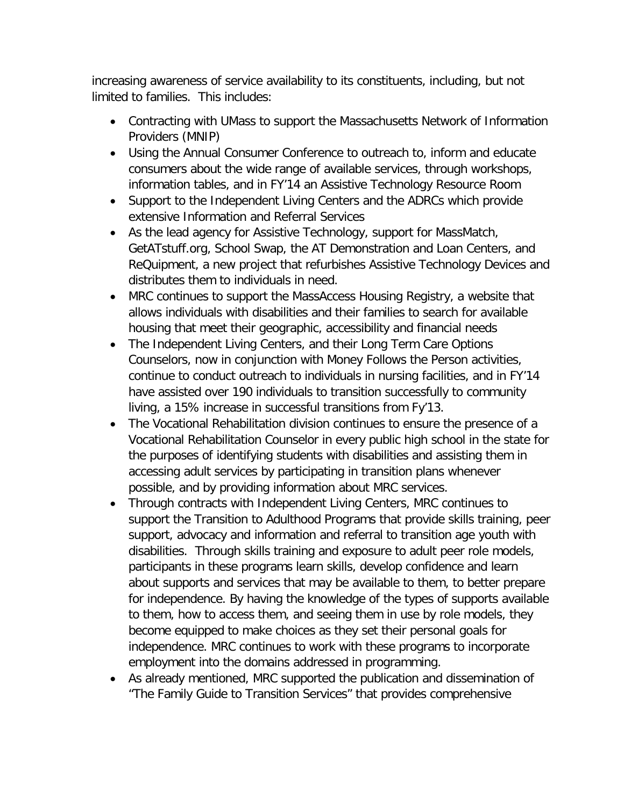increasing awareness of service availability to its constituents, including, but not limited to families. This includes:

- Contracting with UMass to support the Massachusetts Network of Information Providers (MNIP)
- Using the Annual Consumer Conference to outreach to, inform and educate consumers about the wide range of available services, through workshops, information tables, and in FY'14 an Assistive Technology Resource Room
- Support to the Independent Living Centers and the ADRCs which provide extensive Information and Referral Services
- As the lead agency for Assistive Technology, support for MassMatch, GetATstuff.org, School Swap, the AT Demonstration and Loan Centers, and ReQuipment, a new project that refurbishes Assistive Technology Devices and distributes them to individuals in need.
- MRC continues to support the MassAccess Housing Registry, a website that allows individuals with disabilities and their families to search for available housing that meet their geographic, accessibility and financial needs
- The Independent Living Centers, and their Long Term Care Options Counselors, now in conjunction with Money Follows the Person activities, continue to conduct outreach to individuals in nursing facilities, and in FY'14 have assisted over 190 individuals to transition successfully to community living, a 15% increase in successful transitions from Fy'13.
- The Vocational Rehabilitation division continues to ensure the presence of a Vocational Rehabilitation Counselor in every public high school in the state for the purposes of identifying students with disabilities and assisting them in accessing adult services by participating in transition plans whenever possible, and by providing information about MRC services.
- Through contracts with Independent Living Centers, MRC continues to support the Transition to Adulthood Programs that provide skills training, peer support, advocacy and information and referral to transition age youth with disabilities. Through skills training and exposure to adult peer role models, participants in these programs learn skills, develop confidence and learn about supports and services that may be available to them, to better prepare for independence. By having the knowledge of the types of supports available to them, how to access them, and seeing them in use by role models, they become equipped to make choices as they set their personal goals for independence. MRC continues to work with these programs to incorporate employment into the domains addressed in programming.
- As already mentioned, MRC supported the publication and dissemination of "The Family Guide to Transition Services" that provides comprehensive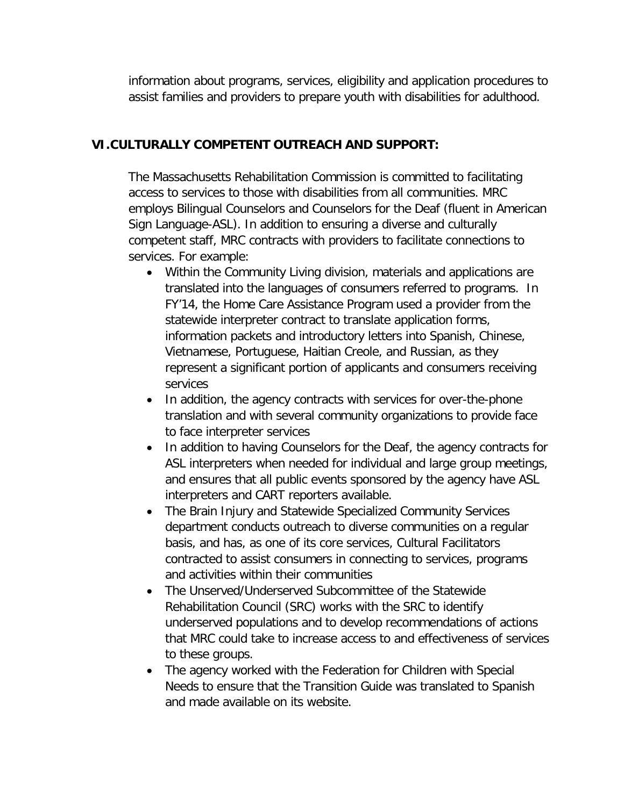information about programs, services, eligibility and application procedures to assist families and providers to prepare youth with disabilities for adulthood.

## **VI.CULTURALLY COMPETENT OUTREACH AND SUPPORT:**

The Massachusetts Rehabilitation Commission is committed to facilitating access to services to those with disabilities from all communities. MRC employs Bilingual Counselors and Counselors for the Deaf (fluent in American Sign Language-ASL). In addition to ensuring a diverse and culturally competent staff, MRC contracts with providers to facilitate connections to services. For example:

- Within the Community Living division, materials and applications are translated into the languages of consumers referred to programs. In FY'14, the Home Care Assistance Program used a provider from the statewide interpreter contract to translate application forms, information packets and introductory letters into Spanish, Chinese, Vietnamese, Portuguese, Haitian Creole, and Russian, as they represent a significant portion of applicants and consumers receiving services
- In addition, the agency contracts with services for over-the-phone translation and with several community organizations to provide face to face interpreter services
- In addition to having Counselors for the Deaf, the agency contracts for ASL interpreters when needed for individual and large group meetings, and ensures that all public events sponsored by the agency have ASL interpreters and CART reporters available.
- The Brain Injury and Statewide Specialized Community Services department conducts outreach to diverse communities on a regular basis, and has, as one of its core services, Cultural Facilitators contracted to assist consumers in connecting to services, programs and activities within their communities
- The Unserved/Underserved Subcommittee of the Statewide Rehabilitation Council (SRC) works with the SRC to identify underserved populations and to develop recommendations of actions that MRC could take to increase access to and effectiveness of services to these groups.
- The agency worked with the Federation for Children with Special Needs to ensure that the Transition Guide was translated to Spanish and made available on its website.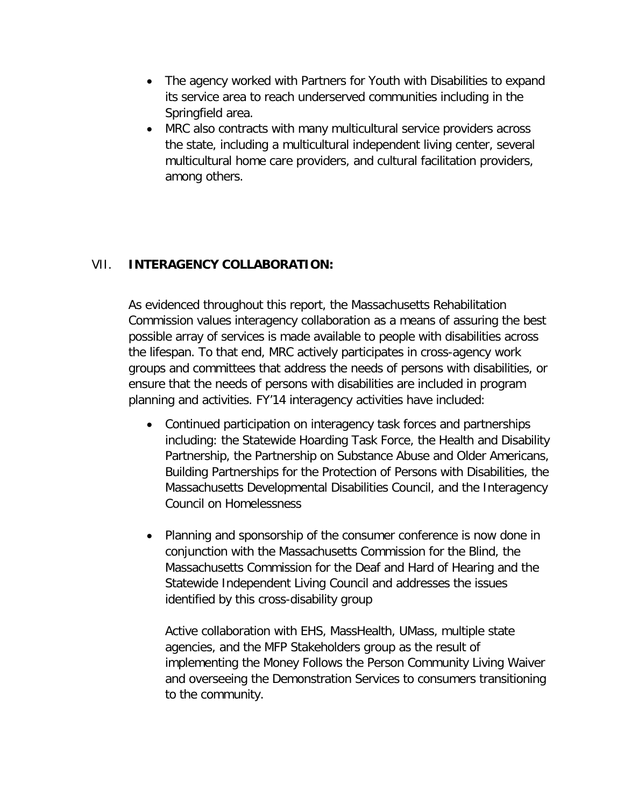- The agency worked with Partners for Youth with Disabilities to expand its service area to reach underserved communities including in the Springfield area.
- MRC also contracts with many multicultural service providers across the state, including a multicultural independent living center, several multicultural home care providers, and cultural facilitation providers, among others.

## VII. **INTERAGENCY COLLABORATION:**

As evidenced throughout this report, the Massachusetts Rehabilitation Commission values interagency collaboration as a means of assuring the best possible array of services is made available to people with disabilities across the lifespan. To that end, MRC actively participates in cross-agency work groups and committees that address the needs of persons with disabilities, or ensure that the needs of persons with disabilities are included in program planning and activities. FY'14 interagency activities have included:

- Continued participation on interagency task forces and partnerships including: the Statewide Hoarding Task Force, the Health and Disability Partnership, the Partnership on Substance Abuse and Older Americans, Building Partnerships for the Protection of Persons with Disabilities, the Massachusetts Developmental Disabilities Council, and the Interagency Council on Homelessness
- Planning and sponsorship of the consumer conference is now done in conjunction with the Massachusetts Commission for the Blind, the Massachusetts Commission for the Deaf and Hard of Hearing and the Statewide Independent Living Council and addresses the issues identified by this cross-disability group

Active collaboration with EHS, MassHealth, UMass, multiple state agencies, and the MFP Stakeholders group as the result of implementing the Money Follows the Person Community Living Waiver and overseeing the Demonstration Services to consumers transitioning to the community.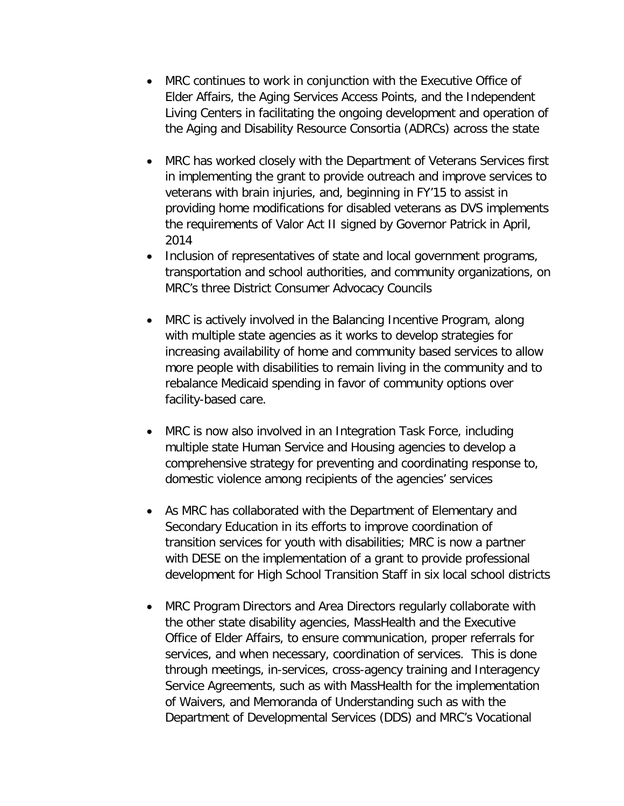- MRC continues to work in conjunction with the Executive Office of Elder Affairs, the Aging Services Access Points, and the Independent Living Centers in facilitating the ongoing development and operation of the Aging and Disability Resource Consortia (ADRCs) across the state
- MRC has worked closely with the Department of Veterans Services first in implementing the grant to provide outreach and improve services to veterans with brain injuries, and, beginning in FY'15 to assist in providing home modifications for disabled veterans as DVS implements the requirements of Valor Act II signed by Governor Patrick in April, 2014
- Inclusion of representatives of state and local government programs, transportation and school authorities, and community organizations, on MRC's three District Consumer Advocacy Councils
- MRC is actively involved in the Balancing Incentive Program, along with multiple state agencies as it works to develop strategies for increasing availability of home and community based services to allow more people with disabilities to remain living in the community and to rebalance Medicaid spending in favor of community options over facility-based care.
- MRC is now also involved in an Integration Task Force, including multiple state Human Service and Housing agencies to develop a comprehensive strategy for preventing and coordinating response to, domestic violence among recipients of the agencies' services
- As MRC has collaborated with the Department of Elementary and Secondary Education in its efforts to improve coordination of transition services for youth with disabilities; MRC is now a partner with DESE on the implementation of a grant to provide professional development for High School Transition Staff in six local school districts
- MRC Program Directors and Area Directors regularly collaborate with the other state disability agencies, MassHealth and the Executive Office of Elder Affairs, to ensure communication, proper referrals for services, and when necessary, coordination of services. This is done through meetings, in-services, cross-agency training and Interagency Service Agreements, such as with MassHealth for the implementation of Waivers, and Memoranda of Understanding such as with the Department of Developmental Services (DDS) and MRC's Vocational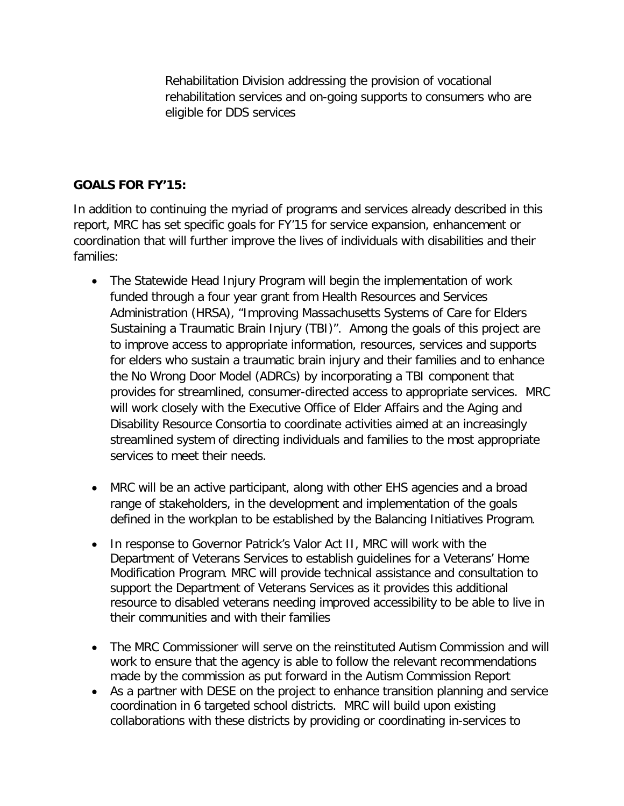Rehabilitation Division addressing the provision of vocational rehabilitation services and on-going supports to consumers who are eligible for DDS services

### **GOALS FOR FY'15:**

In addition to continuing the myriad of programs and services already described in this report, MRC has set specific goals for FY'15 for service expansion, enhancement or coordination that will further improve the lives of individuals with disabilities and their families:

- The Statewide Head Injury Program will begin the implementation of work funded through a four year grant from Health Resources and Services Administration (HRSA), "Improving Massachusetts Systems of Care for Elders Sustaining a Traumatic Brain Injury (TBI)". Among the goals of this project are to improve access to appropriate information, resources, services and supports for elders who sustain a traumatic brain injury and their families and to enhance the No Wrong Door Model (ADRCs) by incorporating a TBI component that provides for streamlined, consumer-directed access to appropriate services. MRC will work closely with the Executive Office of Elder Affairs and the Aging and Disability Resource Consortia to coordinate activities aimed at an increasingly streamlined system of directing individuals and families to the most appropriate services to meet their needs.
- MRC will be an active participant, along with other EHS agencies and a broad range of stakeholders, in the development and implementation of the goals defined in the workplan to be established by the Balancing Initiatives Program.
- In response to Governor Patrick's Valor Act II, MRC will work with the Department of Veterans Services to establish guidelines for a Veterans' Home Modification Program. MRC will provide technical assistance and consultation to support the Department of Veterans Services as it provides this additional resource to disabled veterans needing improved accessibility to be able to live in their communities and with their families
- The MRC Commissioner will serve on the reinstituted Autism Commission and will work to ensure that the agency is able to follow the relevant recommendations made by the commission as put forward in the Autism Commission Report
- As a partner with DESE on the project to enhance transition planning and service coordination in 6 targeted school districts. MRC will build upon existing collaborations with these districts by providing or coordinating in-services to